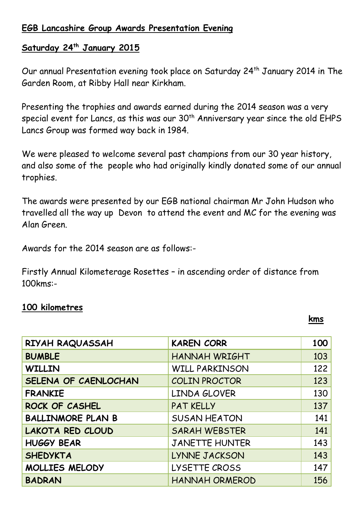## **EGB Lancashire Group Awards Presentation Evening**

## **Saturday 24 th January 2015**

Our annual Presentation evening took place on Saturday 24th January 2014 in The Garden Room, at Ribby Hall near Kirkham.

Presenting the trophies and awards earned during the 2014 season was a very special event for Lancs, as this was our 30<sup>th</sup> Anniversary year since the old EHPS Lancs Group was formed way back in 1984.

We were pleased to welcome several past champions from our 30 year history, and also some of the people who had originally kindly donated some of our annual trophies.

The awards were presented by our EGB national chairman Mr John Hudson who travelled all the way up Devon to attend the event and MC for the evening was Alan Green.

Awards for the 2014 season are as follows:-

Firstly Annual Kilometerage Rosettes – in ascending order of distance from 100kms:-

#### **100 kilometres**

**kms**

| RIYAH RAQUASSAH          | <b>KAREN CORR</b>     | 100 |
|--------------------------|-----------------------|-----|
| <b>BUMBLE</b>            | HANNAH WRIGHT         | 103 |
| <b>WILLIN</b>            | <b>WILL PARKINSON</b> | 122 |
| SELENA OF CAENLOCHAN     | <b>COLIN PROCTOR</b>  | 123 |
| <b>FRANKIE</b>           | LINDA GLOVER          | 130 |
| ROCK OF CASHEL           | <b>PAT KELLY</b>      | 137 |
| <b>BALLINMORE PLAN B</b> | <b>SUSAN HEATON</b>   | 141 |
| <b>LAKOTA RED CLOUD</b>  | <b>SARAH WEBSTER</b>  | 141 |
| <b>HUGGY BEAR</b>        | <b>JANETTE HUNTER</b> | 143 |
| <b>SHEDYKTA</b>          | LYNNE JACKSON         | 143 |
| MOLLIES MELODY           | LYSETTE CROSS         | 147 |
| <b>BADRAN</b>            | <b>HANNAH ORMEROD</b> | 156 |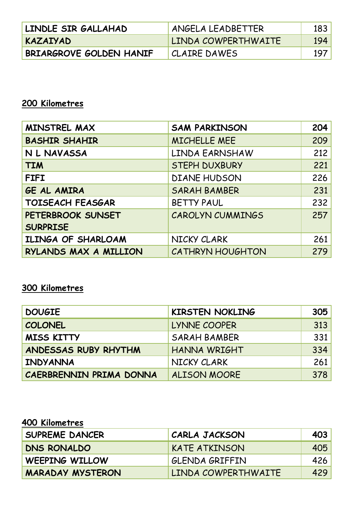| LINDLE SIR GALLAHAD     | ANGELA LEADBETTER   | 183           |
|-------------------------|---------------------|---------------|
| KAZAIYAD                | LINDA COWPERTHWAITE | <u> 194  </u> |
| BRIARGROVE GOLDEN HANIF | CLAIRE DAWES        | 197           |

# **200 Kilometres**

| MINSTREL MAX            | <b>SAM PARKINSON</b> | 204 |
|-------------------------|----------------------|-----|
| <b>BASHIR SHAHIR</b>    | MICHELLE MEE         | 209 |
| N L NAVASSA             | LINDA EARNSHAW       | 212 |
| <b>TIM</b>              | <b>STEPH DUXBURY</b> | 221 |
| <b>FIFI</b>             | <b>DIANE HUDSON</b>  | 226 |
| GE AL AMIRA             | <b>SARAH BAMBER</b>  | 231 |
| <b>TOISEACH FEASGAR</b> | BETTY PAUL           | 232 |
| PETERBROOK SUNSET       | CAROLYN CUMMINGS     | 257 |
| <b>SURPRISE</b>         |                      |     |
| ILINGA OF SHARLOAM      | NICKY CLARK          | 261 |
| RYLANDS MAX A MILLION   | CATHRYN HOUGHTON     | 279 |

## **300 Kilometres**

| <b>DOUGIE</b>           | <b>KIRSTEN NOKLING</b> | 305 |
|-------------------------|------------------------|-----|
| <b>COLONEL</b>          | LYNNE COOPER           | 313 |
| <b>MISS KITTY</b>       | <b>SARAH BAMBER</b>    | 331 |
| ANDESSAS RUBY RHYTHM    | HANNA WRIGHT           | 334 |
| INDYANNA                | NICKY CLARK            | 261 |
| CAERBRENNIN PRIMA DONNA | <b>ALISON MOORE</b>    | 378 |

# **400 Kilometres**

| <b>SUPREME DANCER</b>   | CARLA JACKSON        | 403        |
|-------------------------|----------------------|------------|
| DNS RONALDO             | <b>KATE ATKINSON</b> | 405        |
| <b>WEEPING WILLOW</b>   | GLENDA GRIFFIN       | <b>426</b> |
| <b>MARADAY MYSTERON</b> | LINDA COWPERTHWAITE  | 429        |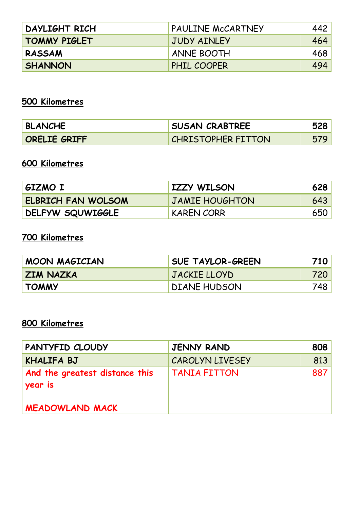| DAYLIGHT RICH       | <b>PAULINE MCCARTNEY</b> | 442        |
|---------------------|--------------------------|------------|
| <b>TOMMY PIGLET</b> | JUDY AINLEY              | 464        |
| <b>RASSAM</b>       | <b>ANNE BOOTH</b>        | <b>468</b> |
| <b>SHANNON</b>      | PHIL COOPER              | 494        |

# **500 Kilometres**

| <b>BLANCHE</b> | <b>SUSAN CRABTREE</b>     |  |
|----------------|---------------------------|--|
| ORELIE GRIFF   | <b>CHRISTOPHER FITTON</b> |  |

# **600 Kilometres**

| GIZMO I                   | <b>IZZY WILSON</b>    | 628 |
|---------------------------|-----------------------|-----|
| <b>ELBRICH FAN WOLSOM</b> | <b>JAMIE HOUGHTON</b> | 643 |
| DELFYW SQUWIGGLE          | KAREN CORR            | 650 |

# **700 Kilometres**

| MOON MAGICIAN    | <b>SUE TAYLOR-GREEN</b> | 710  |
|------------------|-------------------------|------|
| <b>ZIM NAZKA</b> | JACKIE LLOYD            | 720  |
| <b>TOMMY</b>     | <b>DIANE HUDSON</b>     | 748. |

## **800 Kilometres**

| PANTYFID CLOUDY                           | <b>JENNY RAND</b>      | 808 |
|-------------------------------------------|------------------------|-----|
| <b>KHALIFA BJ</b>                         | <b>CAROLYN LIVESEY</b> | 813 |
| And the greatest distance this<br>year is | TANIA FITTON           | 887 |
| <b>MEADOWLAND MACK</b>                    |                        |     |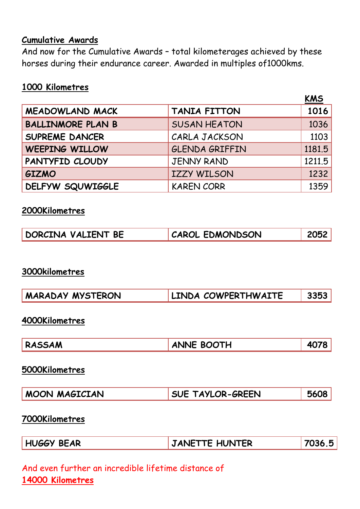#### **Cumulative Awards**

And now for the Cumulative Awards – total kilometerages achieved by these horses during their endurance career. Awarded in multiples of1000kms.

### **1000 Kilometres**

|                          |                       | <b>KMS</b> |
|--------------------------|-----------------------|------------|
| <b>MEADOWLAND MACK</b>   | <b>TANIA FITTON</b>   | 1016       |
| <b>BALLINMORE PLAN B</b> | <b>SUSAN HEATON</b>   | 1036       |
| SUPREME DANCER           | CARLA JACKSON         | 1103       |
| <b>WEEPING WILLOW</b>    | <b>GLENDA GRIFFIN</b> | 1181.5     |
| PANTYFID CLOUDY          | <b>JENNY RAND</b>     | 1211.5     |
| <b>GIZMO</b>             | <b>IZZY WILSON</b>    | 1232       |
| <b>DELFYW SQUWIGGLE</b>  | <b>KAREN CORR</b>     | 1359       |

#### **2000Kilometres**

| DORCINA VALIENT BE | <b>CAROL EDMONDSON</b> | 2052 |
|--------------------|------------------------|------|
|--------------------|------------------------|------|

#### **3000kilometres**

| LINDA COWPERTHWAITE<br>3353<br><b>MARADAY MYSTERON</b> |
|--------------------------------------------------------|
|--------------------------------------------------------|

#### **4000Kilometres**

| RASSAM | <b>ANNE BOOTH</b> | 4078 |  |
|--------|-------------------|------|--|
|--------|-------------------|------|--|

#### **5000Kilometres**

### **7000Kilometres**

| <b>HUGGY BEAR</b> | JANETTE HUNTER | 7036.5 |
|-------------------|----------------|--------|
|-------------------|----------------|--------|

## And even further an incredible lifetime distance of **14000 Kilometres**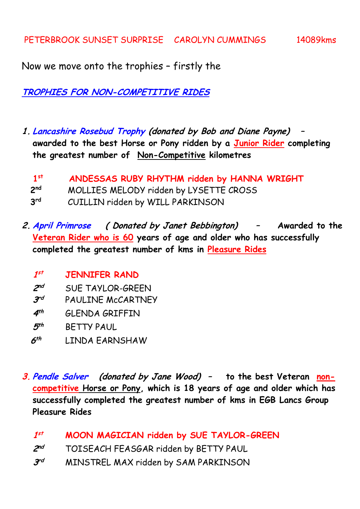Now we move onto the trophies – firstly the

**TROPHIES FOR NON-COMPETITIVE RIDES**

**1. Lancashire Rosebud Trophy (donated by Bob and Diane Payne) – awarded to the best Horse or Pony ridden by a Junior Rider completing the greatest number of Non-Competitive kilometres** 

| 1 <sup>st</sup> | ANDESSAS RUBY RHYTHM ridden by HANNA WRIGHT |
|-----------------|---------------------------------------------|
| 2 <sup>nd</sup> | MOLLIES MELODY ridden by LYSETTE CROSS      |
| 3 <sup>rd</sup> | CUILLIN ridden by WILL PARKINSON            |

- **2. April Primrose ( Donated by Janet Bebbington) – Awarded to the Veteran Rider who is 60 years of age and older who has successfully completed the greatest number of kms in Pleasure Rides**
	- **1 st JENNIFER RAND**
	- 2<sup>nd</sup> **nd** SUE TAYLOR-GREEN
	- **3 PAULINE McCARTNEY**
	- **4 th** GLENDA GRIFFIN
	- **5 th** BETTY PAUL
	- **6 th** LINDA EARNSHAW
- **3. Pendle Salver (donated by Jane Wood) – to the best Veteran noncompetitive Horse or Pony, which is 18 years of age and older which has successfully completed the greatest number of kms in EGB Lancs Group Pleasure Rides**
	- **1 st MOON MAGICIAN ridden by SUE TAYLOR-GREEN**
	- **2 nd** TOISEACH FEASGAR ridden by BETTY PAUL
	- $3^{rd}$ **MINSTREL MAX ridden by SAM PARKINSON**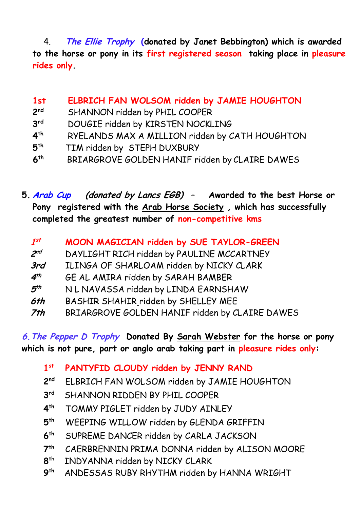4. **The Ellie Trophy (donated by Janet Bebbington) which is awarded to the horse or pony in its first registered season taking place in pleasure rides only.**

**1st ELBRICH FAN WOLSOM ridden by JAMIE HOUGHTON 2 nd** SHANNON ridden by PHIL COOPER **3 rd** DOUGIE ridden by KIRSTEN NOCKLING **4 th** RYELANDS MAX A MILLION ridden by CATH HOUGHTON **5 th** TIM ridden by STEPH DUXBURY **6 th** BRIARGROVE GOLDEN HANIF ridden by CLAIRE DAWES

**5. Arab Cup (donated by Lancs EGB) – Awarded to the best Horse or Pony registered with the Arab Horse Society , which has successfully completed the greatest number of non-competitive kms**

| $\boldsymbol{1^{st}}$ |  | MOON MAGICIAN ridden by SUE TAYLOR-GREEN |  |  |  |  |  |
|-----------------------|--|------------------------------------------|--|--|--|--|--|
|-----------------------|--|------------------------------------------|--|--|--|--|--|

- 2<sup>nd</sup> **nd** DAYLIGHT RICH ridden by PAULINE MCCARTNEY
- **3rd** ILINGA OF SHARLOAM ridden by NICKY CLARK
- **4 th** GE AL AMIRA ridden by SARAH BAMBER
- **5 th** N L NAVASSA ridden by LINDA EARNSHAW
- **6th** BASHIR SHAHIR ridden by SHELLEY MEE
- **7th** BRIARGROVE GOLDEN HANIF ridden by CLAIRE DAWES

**6.The Pepper D Trophy Donated By Sarah Webster for the horse or pony which is not pure, part or anglo arab taking part in pleasure rides only:**

- **1 st PANTYFID CLOUDY ridden by JENNY RAND**
- **2nd nd** ELBRICH FAN WOLSOM ridden by JAMIE HOUGHTON
- **3 rd** SHANNON RIDDEN BY PHIL COOPER
- **4 th** TOMMY PIGLET ridden by JUDY AINLEY
- **5** WEEPING WILLOW ridden by GLENDA GRIFFIN
- **6 th** SUPREME DANCER ridden by CARLA JACKSON
- $7<sup>th</sup>$ CAERBRENNIN PRIMA DONNA ridden by ALISON MOORE
- **8 t**h INDYANNA ridden by NICKY CLARK
- **9 th** ANDESSAS RUBY RHYTHM ridden by HANNA WRIGHT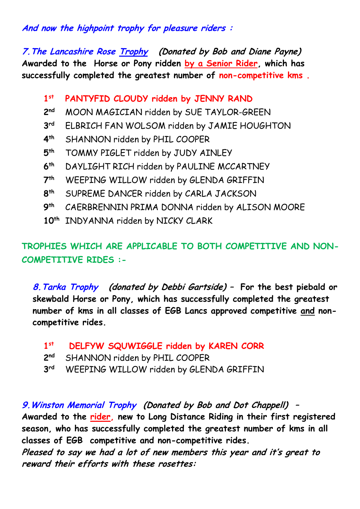## **And now the highpoint trophy for pleasure riders :**

**7.The Lancashire Rose Trophy (Donated by Bob and Diane Payne) Awarded to the Horse or Pony ridden by a Senior Rider, which has successfully completed the greatest number of non-competitive kms .**

#### **1 st PANTYFID CLOUDY ridden by JENNY RAND**

- 2<sup>nd</sup> **MOON MAGICIAN ridden by SUE TAYLOR-GREEN**
- **3** ELBRICH FAN WOLSOM ridden by JAMIE HOUGHTON
- **4 th** SHANNON ridden by PHIL COOPER
- **5 th** TOMMY PIGLET ridden by JUDY AINLEY
- **6 th** DAYLIGHT RICH ridden by PAULINE MCCARTNEY
- **7** WEEPING WILLOW ridden by GLENDA GRIFFIN
- **8 th** SUPREME DANCER ridden by CARLA JACKSON
- **9** CAERBRENNIN PRIMA DONNA ridden by ALISON MOORE
- **10th** INDYANNA ridden by NICKY CLARK

# **TROPHIES WHICH ARE APPLICABLE TO BOTH COMPETITIVE AND NON-COMPETITIVE RIDES :-**

**8.Tarka Trophy (donated by Debbi Gartside) – For the best piebald or skewbald Horse or Pony, which has successfully completed the greatest number of kms in all classes of EGB Lancs approved competitive and noncompetitive rides.**

| 1st DELFYW SQUWIGGLE ridden by KAREN CORR |
|-------------------------------------------|
|                                           |

- **2 SHANNON ridden by PHIL COOPER**
- **3** WEEPING WILLOW ridden by GLENDA GRIFFIN

## **9.Winston Memorial Trophy (Donated by Bob and Dot Chappell) –**

**Awarded to the rider, new to Long Distance Riding in their first registered season, who has successfully completed the greatest number of kms in all classes of EGB competitive and non-competitive rides.** 

**Pleased to say we had a lot of new members this year and it's great to reward their efforts with these rosettes:**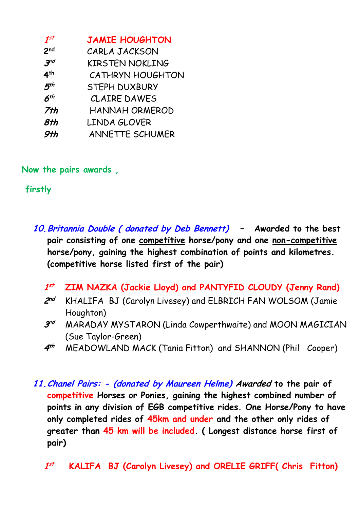| $1^{ST}$        | <b>JAMIE HOUGHTON</b>  |
|-----------------|------------------------|
| 2 <sub>nd</sub> | CARLA JACKSON          |
| 3 <sup>rd</sup> | <b>KIRSTEN NOKLING</b> |
| 4 <sup>th</sup> | CATHRYN HOUGHTON       |
| 5 <sup>th</sup> | <b>STEPH DUXBURY</b>   |
| $6^{th}$        | <b>CLAIRE DAWES</b>    |
| 7th             | HANNAH ORMEROD         |
| 8th             | LINDA GLOVER           |
| 9th             | ANNETTE SCHUMER        |

**Now the pairs awards ,** 

**firstly** 

**10.Britannia Double ( donated by Deb Bennett) – Awarded to the best pair consisting of one competitive horse/pony and one non-competitive horse/pony, gaining the highest combination of points and kilometres. (competitive horse listed first of the pair)**

- **1 st ZIM NAZKA (Jackie Lloyd) and PANTYFID CLOUDY (Jenny Rand)**
- 2nd **nd** KHALIFA BJ (Carolyn Livesey) and ELBRICH FAN WOLSOM (Jamie Houghton)
- **3 rd** MARADAY MYSTARON (Linda Cowperthwaite) and MOON MAGICIAN (Sue Taylor-Green)
- **4 th** MEADOWLAND MACK (Tania Fitton) and SHANNON (Phil Cooper)
- **11.Chanel Pairs: - (donated by Maureen Helme) Awarded to the pair of competitive Horses or Ponies, gaining the highest combined number of points in any division of EGB competitive rides. One Horse/Pony to have only completed rides of 45km and under and the other only rides of greater than 45 km will be included. ( Longest distance horse first of pair)**
	- **1 st KALIFA BJ (Carolyn Livesey) and ORELIE GRIFF( Chris Fitton)**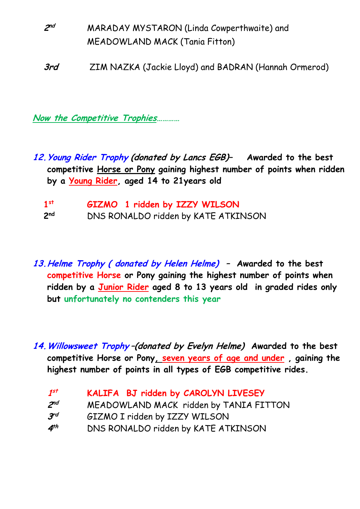**2 nd** MARADAY MYSTARON (Linda Cowperthwaite) and MEADOWLAND MACK (Tania Fitton)

**3rd** ZIM NAZKA (Jackie Lloyd) and BADRAN (Hannah Ormerod)

**Now the Competitive Trophies…………**

- **12.Young Rider Trophy (donated by Lancs EGB)– Awarded to the best competitive Horse or Pony gaining highest number of points when ridden by a Young Rider, aged 14 to 21years old** 
	- **1 st GIZMO 1 ridden by IZZY WILSON** 2nd **nd** DNS RONALDO ridden by KATE ATKINSON
- **13.Helme Trophy ( donated by Helen Helme) – Awarded to the best competitive Horse or Pony gaining the highest number of points when ridden by a Junior Rider aged 8 to 13 years old in graded rides only but unfortunately no contenders this year**
- **14.Willowsweet Trophy –(donated by Evelyn Helme) Awarded to the best competitive Horse or Pony, seven years of age and under , gaining the highest number of points in all types of EGB competitive rides.**
	- **1 st KALIFA BJ ridden by CAROLYN LIVESEY**
	- 2<sup>nd</sup> **MEADOWLAND MACK ridden by TANIA FITTON**
	- **3 GIZMO I ridden by IZZY WILSON**
	- **4 th** DNS RONALDO ridden by KATE ATKINSON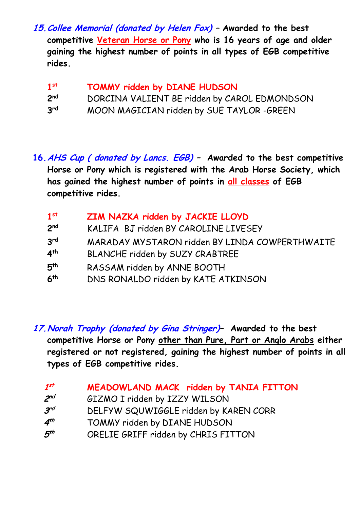**15.Collee Memorial (donated by Helen Fox) – Awarded to the best competitive Veteran Horse or Pony who is 16 years of age and older gaining the highest number of points in all types of EGB competitive rides.** 

| 1 <sup>st</sup> | TOMMY ridden by DIANE HUDSON                 |
|-----------------|----------------------------------------------|
| 2 <sub>nd</sub> | DORCINA VALIENT BE ridden by CAROL EDMONDSON |
| 3 <sup>rd</sup> | MOON MAGICIAN ridden by SUE TAYLOR -GREEN    |

**16.AHS Cup ( donated by Lancs. EGB) – Awarded to the best competitive Horse or Pony which is registered with the Arab Horse Society, which has gained the highest number of points in all classes of EGB competitive rides.**

| 1 <sup>st</sup> | ZIM NAZKA ridden by JACKIE LLOYD               |
|-----------------|------------------------------------------------|
| 2 <sup>nd</sup> | KALIFA BJ ridden BY CAROLINE LIVESEY           |
| 3 <sup>rd</sup> | MARADAY MYSTARON ridden BY LINDA COWPERTHWAITE |
| 4 <sup>th</sup> | BLANCHE ridden by SUZY CRABTREE                |
| 5 <sup>th</sup> | RASSAM ridden by ANNE BOOTH                    |
| 6 <sup>th</sup> | DNS RONALDO ridden by KATE ATKINSON            |

**17.Norah Trophy (donated by Gina Stringer)– Awarded to the best competitive Horse or Pony other than Pure, Part or Anglo Arabs either registered or not registered, gaining the highest number of points in all types of EGB competitive rides.** 

| $\boldsymbol{1^{st}}$ | MEADOWLAND MACK ridden by TANIA FITTON |  |  |
|-----------------------|----------------------------------------|--|--|
|-----------------------|----------------------------------------|--|--|

- 2<sup>nd</sup> **GIZMO I ridden by IZZY WILSON**
- **3 rd** DELFYW SQUWIGGLE ridden by KAREN CORR
- **4** TOMMY ridden by DIANE HUDSON
- **5 th** ORELIE GRIFF ridden by CHRIS FITTON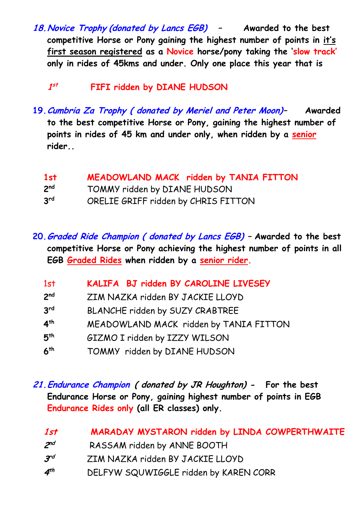**18.Novice Trophy (donated by Lancs EGB) – Awarded to the best competitive Horse or Pony gaining the highest number of points in it's first season registered as a Novice horse/pony taking the 'slow track' only in rides of 45kms and under. Only one place this year that is** 

 **1 st FIFI ridden by DIANE HUDSON**

**19.Cumbria Za Trophy ( donated by Meriel and Peter Moon)– Awarded to the best competitive Horse or Pony, gaining the highest number of points in rides of 45 km and under only, when ridden by a senior rider..**

| 1st             | MEADOWLAND MACK ridden by TANIA FITTON |
|-----------------|----------------------------------------|
| 2 <sup>nd</sup> | TOMMY ridden by DIANE HUDSON           |
| 3 <sup>rd</sup> | ORELIE GRIFF ridden by CHRIS FITTON    |

**20.Graded Ride Champion ( donated by Lancs EGB) – Awarded to the best competitive Horse or Pony achieving the highest number of points in all EGB Graded Rides when ridden by a senior rider.**

| 1st             | KALIFA BJ ridden BY CAROLINE LIVESEY   |
|-----------------|----------------------------------------|
| 2 <sub>nd</sub> | ZIM NAZKA ridden BY JACKIE LLOYD       |
| 3 <sup>rd</sup> | BLANCHE ridden by SUZY CRABTREE        |
| 4 <sup>th</sup> | MEADOWLAND MACK ridden by TANIA FITTON |
| 5 <sup>th</sup> | GIZMO I ridden by IZZY WILSON          |
| 6 <sup>th</sup> | TOMMY ridden by DIANE HUDSON           |

**21.Endurance Champion ( donated by JR Houghton) - For the best Endurance Horse or Pony, gaining highest number of points in EGB Endurance Rides only (all ER classes) only.** 

| 1st             | MARADAY MYSTARON ridden by LINDA COWPERTHWAITE |
|-----------------|------------------------------------------------|
| $2^{nd}$        | RASSAM ridden by ANNE BOOTH                    |
| $\mathcal{F}^d$ | ZIM NAZKA ridden BY JACKIE LLOYD               |
| 4 <sup>th</sup> | DELFYW SQUWIGGLE ridden by KAREN CORR          |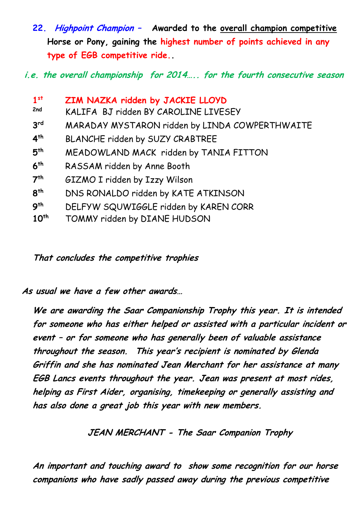**22. Highpoint Champion – Awarded to the overall champion competitive Horse or Pony, gaining the highest number of points achieved in any type of EGB competitive ride..**

**i.e. the overall championship for 2014….. for the fourth consecutive season**

| 1 <sup>st</sup>  | ZIM NAZKA ridden by JACKIE LLOYD               |
|------------------|------------------------------------------------|
| 2nd              | KALIFA BJ ridden BY CAROLINE LIVESEY           |
| 3 <sup>rd</sup>  | MARADAY MYSTARON ridden by LINDA COWPERTHWAITE |
| 4 <sup>th</sup>  | BLANCHE ridden by SUZY CRABTREE                |
| 5 <sup>th</sup>  | MEADOWLAND MACK ridden by TANIA FITTON         |
| 6 <sup>th</sup>  | RASSAM ridden by Anne Booth                    |
| 7 <sup>th</sup>  | GIZMO I ridden by Izzy Wilson                  |
| 8 <sup>th</sup>  | DNS RONALDO ridden by KATE ATKINSON            |
| 9 <sup>th</sup>  | DELFYW SQUWIGGLE ridden by KAREN CORR          |
| 10 <sup>th</sup> | TOMMY ridden by DIANE HUDSON                   |

**That concludes the competitive trophies**

**As usual we have a few other awards…**

**We are awarding the Saar Companionship Trophy this year. It is intended for someone who has either helped or assisted with a particular incident or event – or for someone who has generally been of valuable assistance throughout the season. This year's recipient is nominated by Glenda Griffin and she has nominated Jean Merchant for her assistance at many EGB Lancs events throughout the year. Jean was present at most rides, helping as First Aider, organising, timekeeping or generally assisting and has also done a great job this year with new members.** 

**JEAN MERCHANT - The Saar Companion Trophy**

**An important and touching award to show some recognition for our horse companions who have sadly passed away during the previous competitive**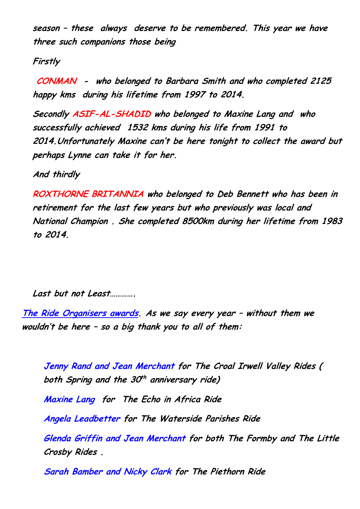**season – these always deserve to be remembered. This year we have three such companions those being**

**Firstly**

**CONMAN - who belonged to Barbara Smith and who completed 2125 happy kms during his lifetime from 1997 to 2014.**

**Secondly ASIF-AL-SHADID who belonged to Maxine Lang and who successfully achieved 1532 kms during his life from 1991 to 2014.Unfortunately Maxine can't be here tonight to collect the award but perhaps Lynne can take it for her.**

**And thirdly**

**ROXTHORNE BRITANNIA who belonged to Deb Bennett who has been in retirement for the last few years but who previously was local and National Champion . She completed 8500km during her lifetime from 1983 to 2014.**

**Last but not Least………….** 

**The Ride Organisers awards. As we say every year – without them we wouldn't be here – so a big thank you to all of them:**

**Jenny Rand and Jean Merchant for The Croal Irwell Valley Rides ( both Spring and the 30 th anniversary ride)**

**Maxine Lang for The Echo in Africa Ride**

**Angela Leadbetter for The Waterside Parishes Ride**

**Glenda Griffin and Jean Merchant for both The Formby and The Little Crosby Rides .**

 **Sarah Bamber and Nicky Clark for The Piethorn Ride**